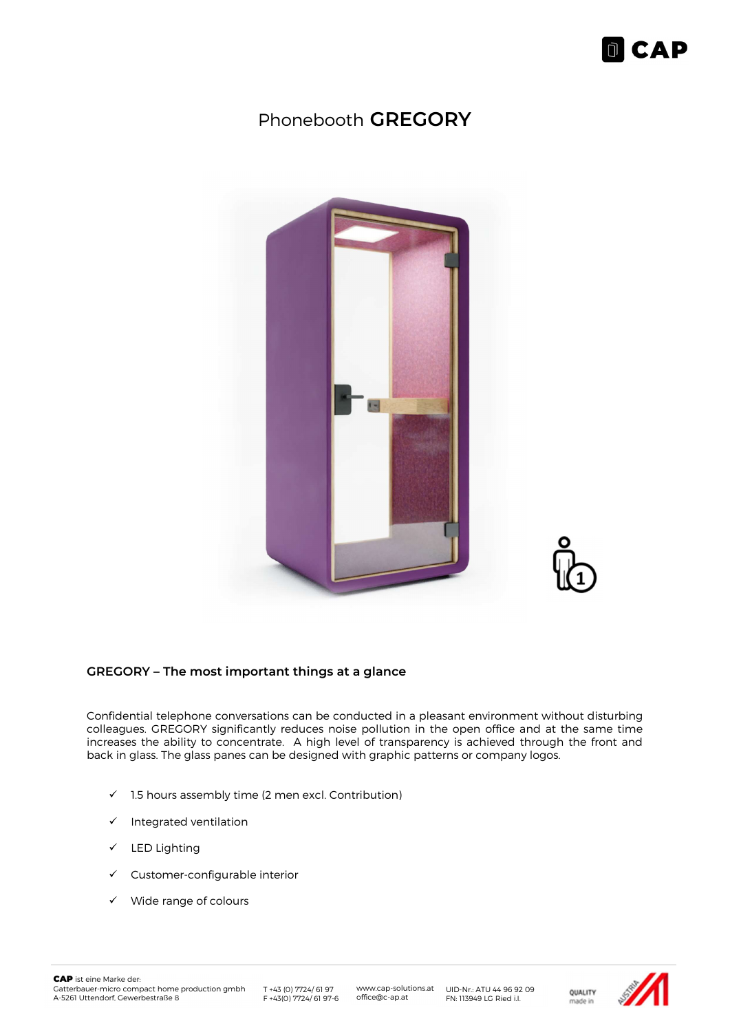

### Phonebooth GREGORY



#### GREGORY – The most important things at a glance

Confidential telephone conversations can be conducted in a pleasant environment without disturbing colleagues. GREGORY significantly reduces noise pollution in the open office and at the same time increases the ability to concentrate. A high level of transparency is achieved through the front and back in glass. The glass panes can be designed with graphic patterns or company logos.

- $\checkmark$  1.5 hours assembly time (2 men excl. Contribution)
- $\checkmark$  Integrated ventilation
- $\checkmark$  LED Lighting
- $\checkmark$  Customer-configurable interior
- $\checkmark$  Wide range of colours

T +43 (0) 7724/ 61 97

www.cap-solutions.at office@c-ap.at

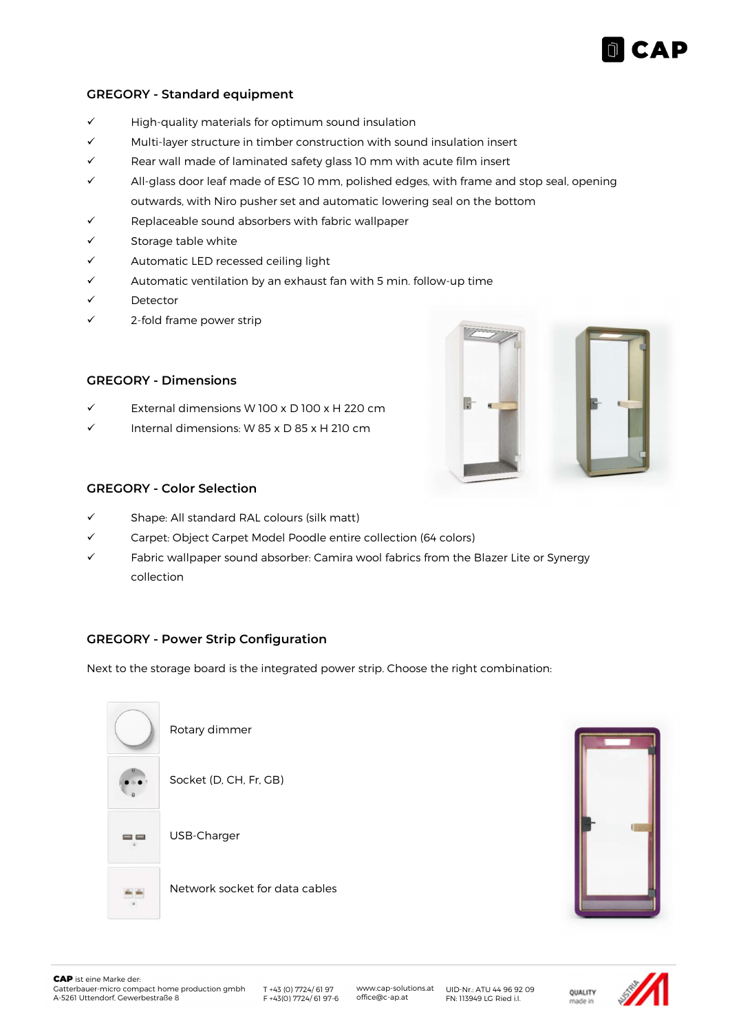# **CAP**

#### GREGORY - Standard equipment

- $\checkmark$  High-quality materials for optimum sound insulation
- $\checkmark$  Multi-layer structure in timber construction with sound insulation insert
- $\checkmark$  Rear wall made of laminated safety glass 10 mm with acute film insert
- $\checkmark$  All-glass door leaf made of ESG 10 mm, polished edges, with frame and stop seal, opening outwards, with Niro pusher set and automatic lowering seal on the bottom
- Replaceable sound absorbers with fabric wallpaper
- Storage table white
- $\checkmark$  Automatic LED recessed ceiling light
- $\checkmark$  Automatic ventilation by an exhaust fan with 5 min. follow-up time
- Detector
- 2-fold frame power strip

#### GREGORY - Dimensions

- External dimensions W 100 x D 100 x H 220 cm
- Internal dimensions: W 85 x D 85 x H 210 cm



#### GREGORY - Color Selection

- $\checkmark$  Shape: All standard RAL colours (silk matt)
- Carpet: Object Carpet Model Poodle entire collection (64 colors)
- $\checkmark$  Fabric wallpaper sound absorber: Camira wool fabrics from the Blazer Lite or Synergy collection

#### GREGORY - Power Strip Configuration

Next to the storage board is the integrated power strip. Choose the right combination:

| Rotary dimmer                  |
|--------------------------------|
| Socket (D, CH, Fr, GB)         |
| USB-Charger                    |
| Network socket for data cables |



www.cap-solutions.at UID-Nr.: ATU 44 96 92 09<br>office@c-ap.at FN: 113949 LG Ried i.l. T +43 (0) 7724/ 61 97 F +43(0) 7724/ 61 97-6 UID-Nr.: ATU 44 96 92 09 FN: 113949 LG Ried i.I.